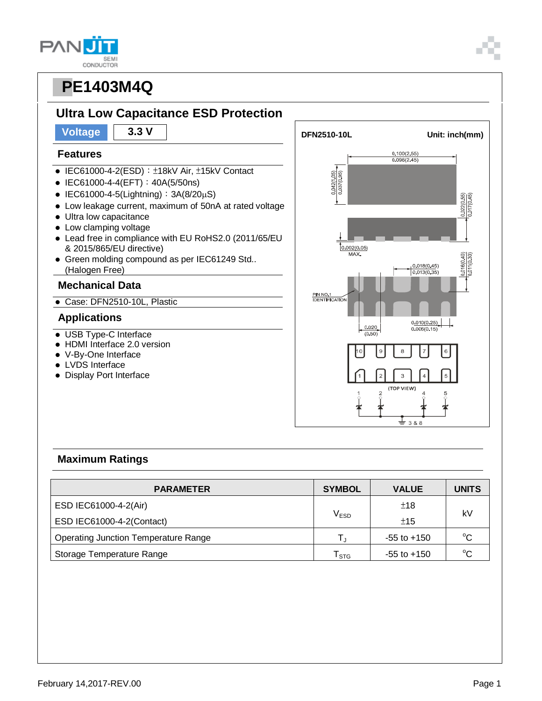| U                       |
|-------------------------|
| <b>SEM</b><br>CONDUCTOR |



# **Ultra Low Capacitance ESD Protection**

#### **Features**

- IEC61000-4-2(ESD): ±18kV Air, ±15kV Contact
- IEC61000-4-4(EFT): 40A(5/50ns)
- IEC61000-4-5(Lightning):  $3A(8/20\mu S)$
- Low leakage current, maximum of 50nA at rated voltage
- $\bullet$  Ultra low capacitance
- Low clamping voltage
- Lead free in compliance with EU RoHS2.0 (2011/65/EU & 2015/865/EU directive)
- Green molding compound as per IEC61249 Std.. (Halogen Free)

#### **Mechanical Data**

Case: DFN2510-10L, Plastic

#### **Applications**

- USB Type-C Interface
- HDMI Interface 2.0 version
- V-By-One Interface
- LVDS Interface
- Display Port Interface



#### **Maximum Ratings**

| <b>PARAMETER</b>                            | <b>SYMBOL</b>               | <b>VALUE</b>    | <b>UNITS</b> |  |
|---------------------------------------------|-----------------------------|-----------------|--------------|--|
| ESD IEC61000-4-2(Air)                       |                             | ±18             | kV           |  |
| ESD IEC61000-4-2(Contact)                   | V <sub>ESD</sub>            | ±15             |              |  |
| <b>Operating Junction Temperature Range</b> | T.                          | $-55$ to $+150$ | $^{\circ}C$  |  |
| Storage Temperature Range                   | $\mathsf{T}_{\texttt{STG}}$ | $-55$ to $+150$ | $^{\circ}C$  |  |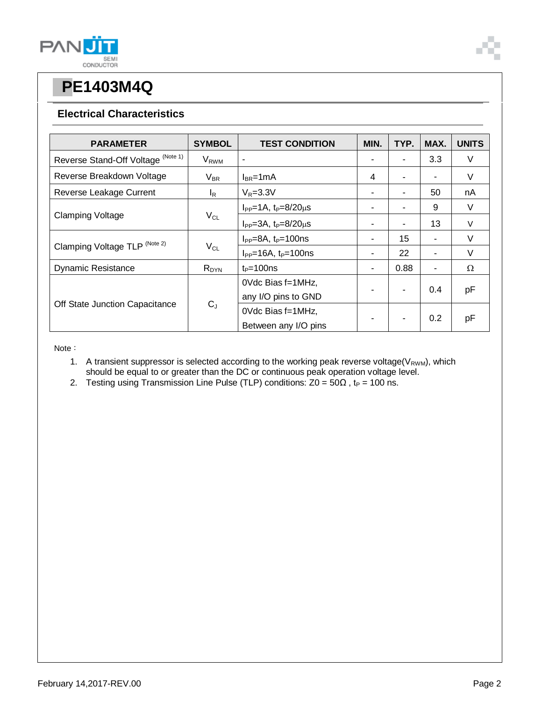

#### **Electrical Characteristics**

| <b>PARAMETER</b>                   | <b>SYMBOL</b>    | <b>TEST CONDITION</b>              | MIN. | TYP. | MAX. | <b>UNITS</b> |
|------------------------------------|------------------|------------------------------------|------|------|------|--------------|
| Reverse Stand-Off Voltage (Note 1) | V <sub>RWM</sub> | ٠                                  |      |      | 3.3  | V            |
| Reverse Breakdown Voltage          | $V_{BR}$         | $I_{BR}$ =1mA                      | 4    |      |      | V            |
| Reverse Leakage Current            | $I_{\mathsf{R}}$ | $V_R = 3.3V$                       |      |      | 50   | nA           |
| <b>Clamping Voltage</b>            | $V_{CL}$         | $I_{PP} = 1A$ , $t_P = 8/20 \mu s$ | ٠    |      | 9    | V            |
|                                    |                  | $I_{PP} = 3A$ , $t_P = 8/20 \mu s$ | ٠    |      | 13   | V            |
| Clamping Voltage TLP (Note 2)      | $V_{CL}$         | $I_{PP} = 8A$ , $t_P = 100$ ns     |      | 15   |      | V            |
|                                    |                  | $I_{PP}$ =16A, $t_P$ =100ns        | ۰    | 22   | Ξ.   | $\vee$       |
| <b>Dynamic Resistance</b>          | $R_{DYN}$        | $t_P = 100$ ns                     | ٠    | 0.88 | ۰    | Ω            |
| Off State Junction Capacitance     | $C_J$            | 0Vdc Bias f=1MHz,                  |      |      | 0.4  | pF           |
|                                    |                  | any I/O pins to GND                |      |      |      |              |
|                                    |                  | 0Vdc Bias f=1MHz,                  |      |      | 0.2  | pF           |
|                                    |                  | Between any I/O pins               |      |      |      |              |

Note:

- 1. A transient suppressor is selected according to the working peak reverse voltage( $V_{RWM}$ ), which should be equal to or greater than the DC or continuous peak operation voltage level.
- 2. Testing using Transmission Line Pulse (TLP) conditions:  $Z0 = 50\Omega$ , t<sub>P</sub> = 100 ns.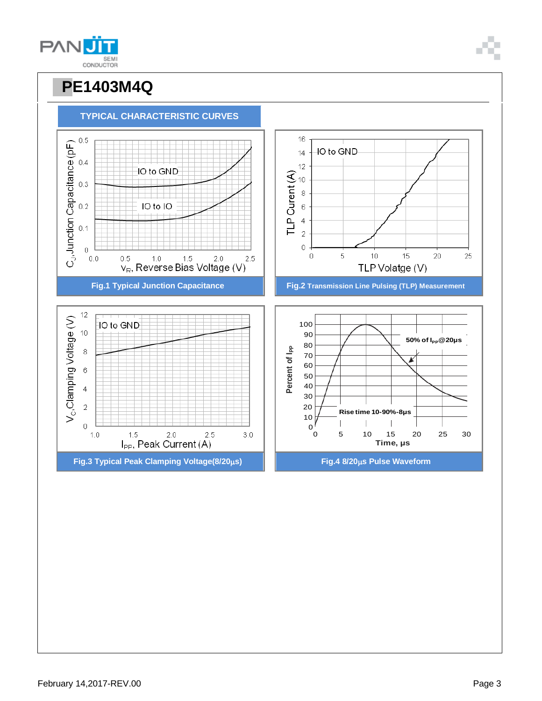







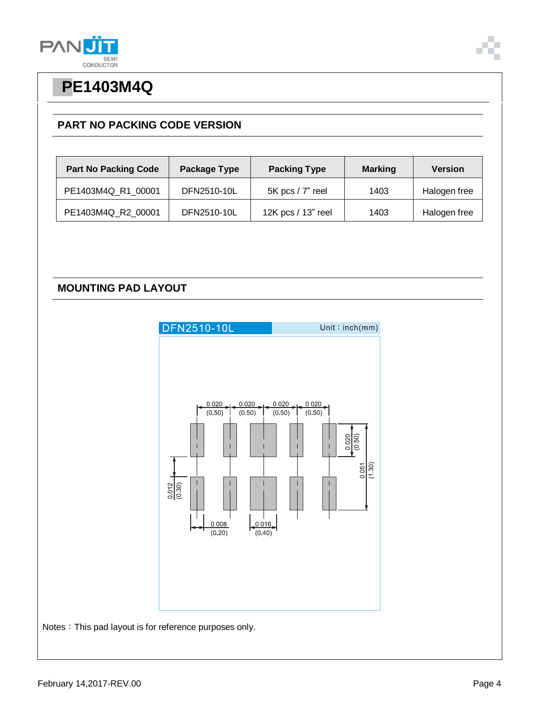



### **PART NO PACKING CODE VERSION**

| <b>Part No Packing Code</b> | Package Type | <b>Packing Type</b> | <b>Marking</b> | <b>Version</b> |
|-----------------------------|--------------|---------------------|----------------|----------------|
| PE1403M4Q R1 00001          | DFN2510-10L  | 5K pcs / 7" reel    | 1403           | Halogen free   |
| PE1403M4Q_R2_00001          | DFN2510-10L  | 12K pcs / 13" reel  | 1403           | Halogen free   |

### **MOUNTING PAD LAYOUT**



Notes: This pad layout is for reference purposes only.